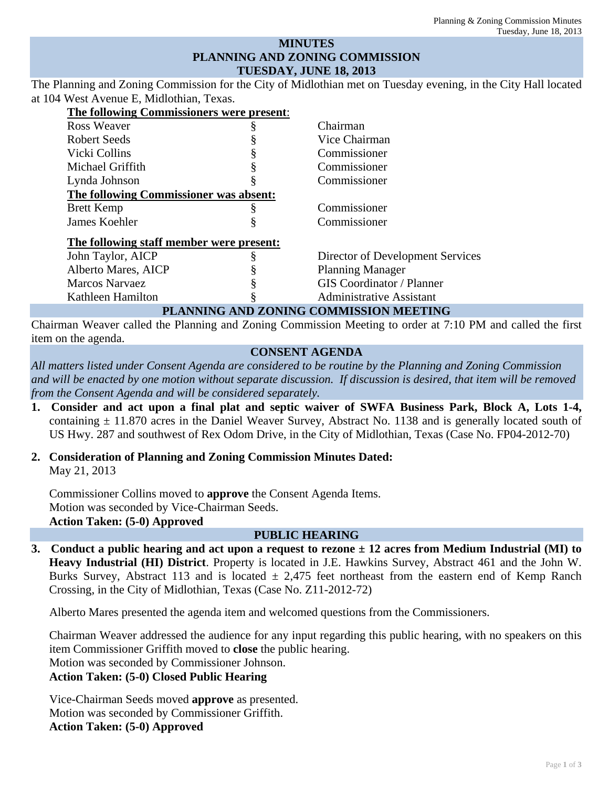## **MINUTES PLANNING AND ZONING COMMISSION TUESDAY, JUNE 18, 2013**

The Planning and Zoning Commission for the City of Midlothian met on Tuesday evening, in the City Hall located at 104 West Avenue E, Midlothian, Texas.

| The following Commissioners were present: |   |                                  |
|-------------------------------------------|---|----------------------------------|
| Ross Weaver                               |   | Chairman                         |
| Robert Seeds                              |   | Vice Chairman                    |
| Vicki Collins                             |   | Commissioner                     |
| Michael Griffith                          |   | Commissioner                     |
| Lynda Johnson                             |   | Commissioner                     |
| The following Commissioner was absent:    |   |                                  |
| <b>Brett Kemp</b>                         | § | Commissioner                     |
| James Koehler                             |   | Commissioner                     |
| The following staff member were present:  |   |                                  |
| John Taylor, AICP                         |   | Director of Development Services |
| Alberto Mares, AICP                       |   | <b>Planning Manager</b>          |
| <b>Marcos Narvaez</b>                     |   | <b>GIS</b> Coordinator / Planner |
| Kathleen Hamilton                         |   | <b>Administrative Assistant</b>  |
| PLANNING AND ZONING COMMISSION MEETING    |   |                                  |

Chairman Weaver called the Planning and Zoning Commission Meeting to order at 7:10 PM and called the first item on the agenda.

## **CONSENT AGENDA**

*All matters listed under Consent Agenda are considered to be routine by the Planning and Zoning Commission and will be enacted by one motion without separate discussion. If discussion is desired, that item will be removed from the Consent Agenda and will be considered separately.*

- **1. Consider and act upon a final plat and septic waiver of SWFA Business Park, Block A, Lots 1-4,**  containing  $\pm$  11.870 acres in the Daniel Weaver Survey, Abstract No. 1138 and is generally located south of US Hwy. 287 and southwest of Rex Odom Drive, in the City of Midlothian, Texas (Case No. FP04-2012-70)
- **2. Consideration of Planning and Zoning Commission Minutes Dated:**  May 21, 2013

Commissioner Collins moved to **approve** the Consent Agenda Items. Motion was seconded by Vice-Chairman Seeds. **Action Taken: (5-0) Approved** 

## **PUBLIC HEARING**

**3. Conduct a public hearing and act upon a request to rezone ± 12 acres from Medium Industrial (MI) to Heavy Industrial (HI) District**. Property is located in J.E. Hawkins Survey, Abstract 461 and the John W. Burks Survey, Abstract 113 and is located  $\pm 2,475$  feet northeast from the eastern end of Kemp Ranch Crossing, in the City of Midlothian, Texas (Case No. Z11-2012-72)

Alberto Mares presented the agenda item and welcomed questions from the Commissioners.

Chairman Weaver addressed the audience for any input regarding this public hearing, with no speakers on this item Commissioner Griffith moved to **close** the public hearing. Motion was seconded by Commissioner Johnson.

## **Action Taken: (5-0) Closed Public Hearing**

Vice-Chairman Seeds moved **approve** as presented. Motion was seconded by Commissioner Griffith. **Action Taken: (5-0) Approved**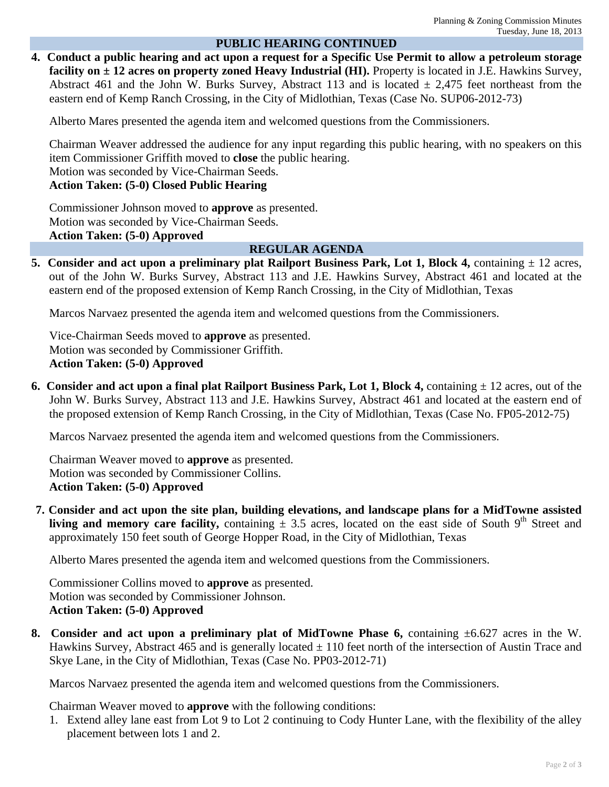# **PUBLIC HEARING CONTINUED**

**4. Conduct a public hearing and act upon a request for a Specific Use Permit to allow a petroleum storage facility on ± 12 acres on property zoned Heavy Industrial (HI).** Property is located in J.E. Hawkins Survey, Abstract 461 and the John W. Burks Survey, Abstract 113 and is located  $\pm$  2,475 feet northeast from the eastern end of Kemp Ranch Crossing, in the City of Midlothian, Texas (Case No. SUP06-2012-73)

Alberto Mares presented the agenda item and welcomed questions from the Commissioners.

Chairman Weaver addressed the audience for any input regarding this public hearing, with no speakers on this item Commissioner Griffith moved to **close** the public hearing.

Motion was seconded by Vice-Chairman Seeds.

**Action Taken: (5-0) Closed Public Hearing** 

Commissioner Johnson moved to **approve** as presented. Motion was seconded by Vice-Chairman Seeds. **Action Taken: (5-0) Approved** 

#### **REGULAR AGENDA**

**5.** Consider and act upon a preliminary plat Railport Business Park, Lot 1, Block 4, containing  $\pm$  12 acres, out of the John W. Burks Survey, Abstract 113 and J.E. Hawkins Survey, Abstract 461 and located at the eastern end of the proposed extension of Kemp Ranch Crossing, in the City of Midlothian, Texas

Marcos Narvaez presented the agenda item and welcomed questions from the Commissioners.

Vice-Chairman Seeds moved to **approve** as presented. Motion was seconded by Commissioner Griffith. **Action Taken: (5-0) Approved** 

**6. Consider and act upon a final plat Railport Business Park, Lot 1, Block 4,** containing ± 12 acres, out of the John W. Burks Survey, Abstract 113 and J.E. Hawkins Survey, Abstract 461 and located at the eastern end of the proposed extension of Kemp Ranch Crossing, in the City of Midlothian, Texas (Case No. FP05-2012-75)

Marcos Narvaez presented the agenda item and welcomed questions from the Commissioners.

Chairman Weaver moved to **approve** as presented. Motion was seconded by Commissioner Collins. **Action Taken: (5-0) Approved** 

**7. Consider and act upon the site plan, building elevations, and landscape plans for a MidTowne assisted living and memory care facility,** containing  $\pm$  3.5 acres, located on the east side of South 9<sup>th</sup> Street and approximately 150 feet south of George Hopper Road, in the City of Midlothian, Texas

Alberto Mares presented the agenda item and welcomed questions from the Commissioners.

Commissioner Collins moved to **approve** as presented. Motion was seconded by Commissioner Johnson. **Action Taken: (5-0) Approved** 

**8. Consider and act upon a preliminary plat of MidTowne Phase 6,** containing ±6.627 acres in the W. Hawkins Survey, Abstract 465 and is generally located  $\pm$  110 feet north of the intersection of Austin Trace and Skye Lane, in the City of Midlothian, Texas (Case No. PP03-2012-71)

Marcos Narvaez presented the agenda item and welcomed questions from the Commissioners.

Chairman Weaver moved to **approve** with the following conditions:

1. Extend alley lane east from Lot 9 to Lot 2 continuing to Cody Hunter Lane, with the flexibility of the alley placement between lots 1 and 2.